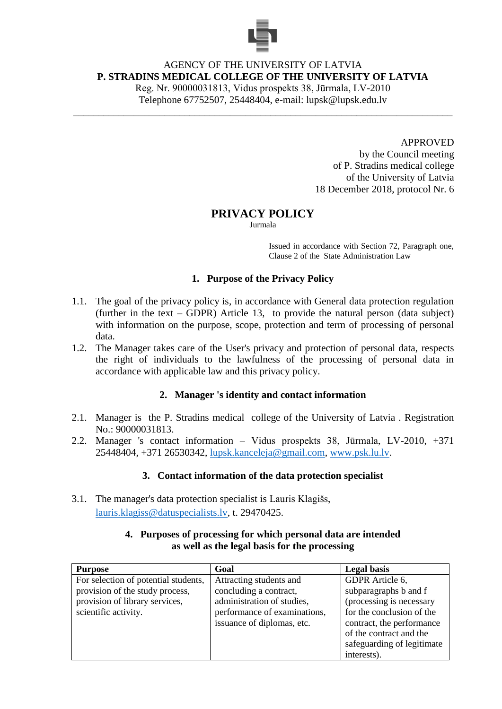

# AGENCY OF THE UNIVERSITY OF LATVIA **P. STRADINS MEDICAL COLLEGE OF THE UNIVERSITY OF LATVIA**

Reg. Nr. 90000031813, Vidus prospekts 38, Jūrmala, LV-2010 Telephone 67752507, 25448404, e-mail: lupsk@lupsk.edu.lv

\_\_\_\_\_\_\_\_\_\_\_\_\_\_\_\_\_\_\_\_\_\_\_\_\_\_\_\_\_\_\_\_\_\_\_\_\_\_\_\_\_\_\_\_\_\_\_\_\_\_\_\_\_\_\_\_\_\_\_\_\_\_\_\_\_\_\_\_\_\_\_\_\_\_\_

APPROVED

by the Council meeting of P. Stradins medical college of the University of Latvia 18 December 2018, protocol Nr. 6

# **PRIVACY POLICY**

Jurmala

Issued in accordance with Section 72, Paragraph one, Clause 2 of the State Administration Law

### **1. Purpose of the Privacy Policy**

- 1.1. The goal of the privacy policy is, in accordance with General data protection regulation (further in the text – GDPR) Article 13, to provide the natural person (data subject) with information on the purpose, scope, protection and term of processing of personal data.
- 1.2. The Manager takes care of the User's privacy and protection of personal data, respects the right of individuals to the lawfulness of the processing of personal data in accordance with applicable law and this privacy policy.

# **2. Manager 's identity and contact information**

- 2.1. Manager is the P. Stradins medical college of the University of Latvia . Registration No.: 90000031813.
- 2.2. Manager 's contact information Vidus prospekts 38, Jūrmala, LV-2010, +371 25448404, +371 26530342, [lupsk.kanceleja@gmail.com,](mailto:lupsk.kanceleja@gmail.com) [www.psk.lu.lv.](http://www.psk.lu.lv/)

### **3. Contact information of the data protection specialist**

3.1. The manager's data protection specialist is Lauris Klagišs, [lauris.klagiss@datuspecialists.lv,](mailto:lauris.klagiss@datuspecialists.lv) t. 29470425.

| <b>Purpose</b>                       | Goal                         | <b>Legal</b> basis         |
|--------------------------------------|------------------------------|----------------------------|
| For selection of potential students, | Attracting students and      | GDPR Article 6,            |
| provision of the study process,      | concluding a contract,       | subparagraphs b and f      |
| provision of library services,       | administration of studies,   | (processing is necessary   |
| scientific activity.                 | performance of examinations, | for the conclusion of the  |
|                                      | issuance of diplomas, etc.   | contract, the performance  |
|                                      |                              | of the contract and the    |
|                                      |                              | safeguarding of legitimate |
|                                      |                              | interests).                |

#### **4. Purposes of processing for which personal data are intended as well as the legal basis for the processing**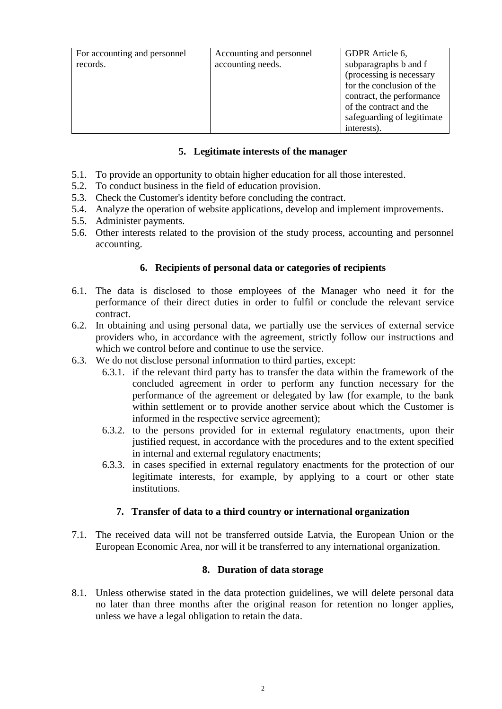|                              | Accounting and personnel | GDPR Article 6,            |
|------------------------------|--------------------------|----------------------------|
| For accounting and personnel |                          |                            |
| records.                     | accounting needs.        | subparagraphs b and f      |
|                              |                          | (processing is necessary   |
|                              |                          | for the conclusion of the  |
|                              |                          | contract, the performance  |
|                              |                          | of the contract and the    |
|                              |                          | safeguarding of legitimate |
|                              |                          | interests).                |

### **5. Legitimate interests of the manager**

- 5.1. To provide an opportunity to obtain higher education for all those interested.
- 5.2. To conduct business in the field of education provision.
- 5.3. Check the Customer's identity before concluding the contract.
- 5.4. Analyze the operation of website applications, develop and implement improvements.
- 5.5. Administer payments.
- 5.6. Other interests related to the provision of the study process, accounting and personnel accounting.

### **6. Recipients of personal data or categories of recipients**

- 6.1. The data is disclosed to those employees of the Manager who need it for the performance of their direct duties in order to fulfil or conclude the relevant service contract.
- 6.2. In obtaining and using personal data, we partially use the services of external service providers who, in accordance with the agreement, strictly follow our instructions and which we control before and continue to use the service.
- 6.3. We do not disclose personal information to third parties, except:
	- 6.3.1. if the relevant third party has to transfer the data within the framework of the concluded agreement in order to perform any function necessary for the performance of the agreement or delegated by law (for example, to the bank within settlement or to provide another service about which the Customer is informed in the respective service agreement);
	- 6.3.2. to the persons provided for in external regulatory enactments, upon their justified request, in accordance with the procedures and to the extent specified in internal and external regulatory enactments;
	- 6.3.3. in cases specified in external regulatory enactments for the protection of our legitimate interests, for example, by applying to a court or other state institutions.

### **7. Transfer of data to a third country or international organization**

7.1. The received data will not be transferred outside Latvia, the European Union or the European Economic Area, nor will it be transferred to any international organization.

### **8. Duration of data storage**

8.1. Unless otherwise stated in the data protection guidelines, we will delete personal data no later than three months after the original reason for retention no longer applies, unless we have a legal obligation to retain the data.